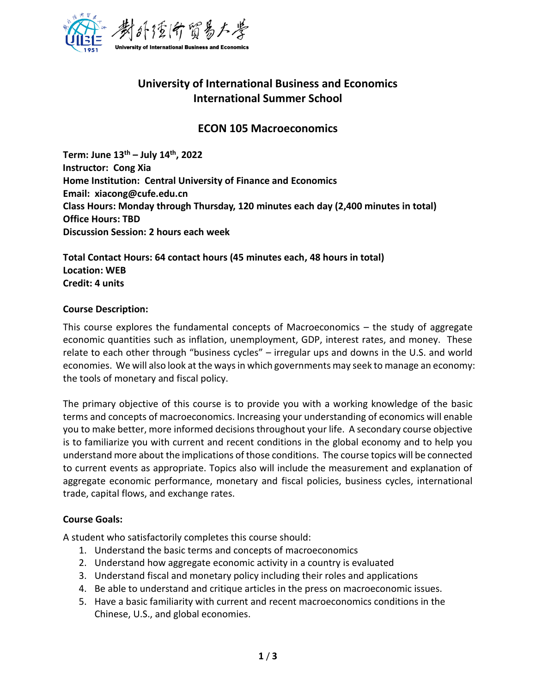

# **University of International Business and Economics International Summer School**

## **ECON 105 Macroeconomics**

**Term: June 13 th – July 14 th, 2022 Instructor: Cong Xia Home Institution: Central University of Finance and Economics Email: xiacong@cufe.edu.cn Class Hours: Monday through Thursday, 120 minutes each day (2,400 minutes in total) Office Hours: TBD Discussion Session: 2 hours each week**

**Total Contact Hours: 64 contact hours (45 minutes each, 48 hours in total) Location: WEB Credit: 4 units**

#### **Course Description:**

This course explores the fundamental concepts of Macroeconomics – the study of aggregate economic quantities such as inflation, unemployment, GDP, interest rates, and money. These relate to each other through "business cycles" – irregular ups and downs in the U.S. and world economies. We will also look at the ways in which governments may seek to manage an economy: the tools of monetary and fiscal policy.

The primary objective of this course is to provide you with a working knowledge of the basic terms and concepts of macroeconomics. Increasing your understanding of economics will enable you to make better, more informed decisions throughout your life. A secondary course objective is to familiarize you with current and recent conditions in the global economy and to help you understand more about the implications of those conditions. The course topics will be connected to current events as appropriate. Topics also will include the measurement and explanation of aggregate economic performance, monetary and fiscal policies, business cycles, international trade, capital flows, and exchange rates.

## **Course Goals:**

A student who satisfactorily completes this course should:

- 1. Understand the basic terms and concepts of macroeconomics
- 2. Understand how aggregate economic activity in a country is evaluated
- 3. Understand fiscal and monetary policy including their roles and applications
- 4. Be able to understand and critique articles in the press on macroeconomic issues.
- 5. Have a basic familiarity with current and recent macroeconomics conditions in the Chinese, U.S., and global economies.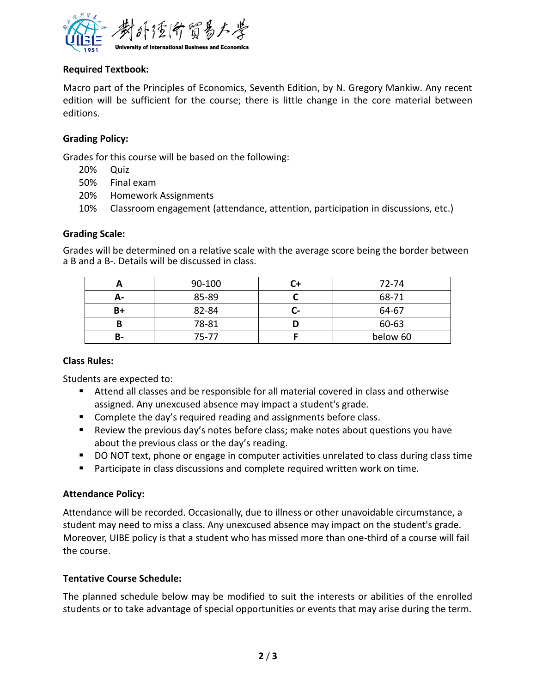

## **Required Textbook:**

Macro part of the Principles of Economics, Seventh Edition, by N. Gregory Mankiw. Any recent edition will be sufficient for the course; there is little change in the core material between editions.

## **Grading Policy:**

Grades for this course will be based on the following:

- 20% Quiz
- 50% Final exam
- 20% Homework Assignments
- 10% Classroom engagement (attendance, attention, participation in discussions, etc.)

## **Grading Scale:**

Grades will be determined on a relative scale with the average score being the border between a B and a B-. Details will be discussed in class.

|    | 90-100 |     | 72-74    |
|----|--------|-----|----------|
| А- | 85-89  |     | 68-71    |
| B+ | 82-84  | ш÷. | 64-67    |
| В  | 78-81  |     | 60-63    |
| В- | 75-77  |     | below 60 |

## **Class Rules:**

Students are expected to:

- Attend all classes and be responsible for all material covered in class and otherwise assigned. Any unexcused absence may impact a student's grade.
- Complete the day's required reading and assignments before class.
- Review the previous day's notes before class; make notes about questions you have about the previous class or the day's reading.
- DO NOT text, phone or engage in computer activities unrelated to class during class time
- Participate in class discussions and complete required written work on time.

## **Attendance Policy:**

Attendance will be recorded. Occasionally, due to illness or other unavoidable circumstance, a student may need to miss a class. Any unexcused absence may impact on the student's grade. Moreover, UIBE policy is that a student who has missed more than one-third of a course will fail the course.

## **Tentative Course Schedule:**

The planned schedule below may be modified to suit the interests or abilities of the enrolled students or to take advantage of special opportunities or events that may arise during the term.